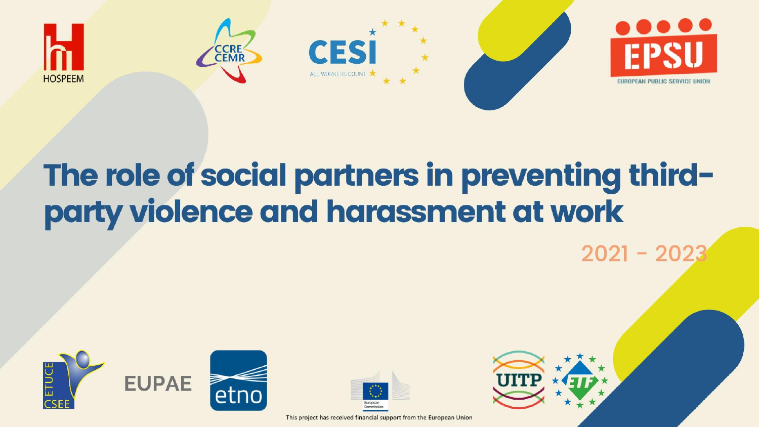

### The role of social partners in preventing thirdparty violence and harassment at work

 $2021 - 20$ 





This project has received financial support from the European Union

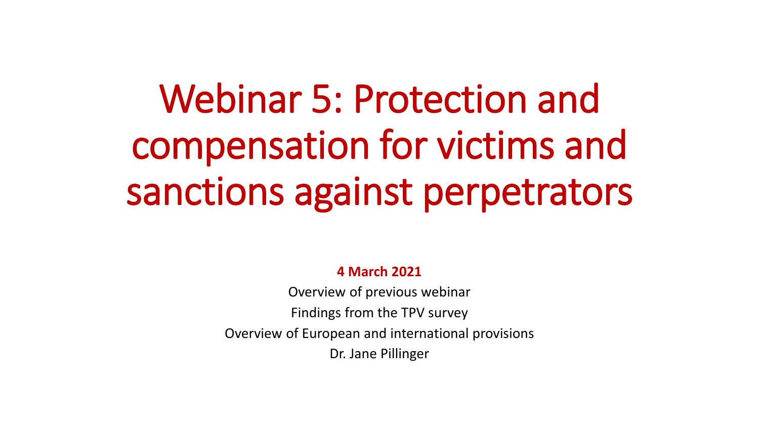## Webinar 5: Protection and compensation for victims and sanctions against perpetrators

#### **4 March 2021**

Overview of previous webinar Findings from the TPV survey Overview of European and international provisions Dr. Jane Pillinger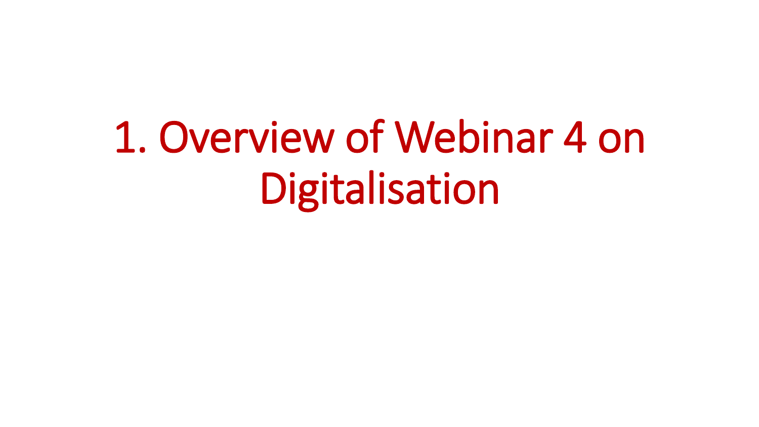# 1. Overview of Webinar 4 on Digitalisation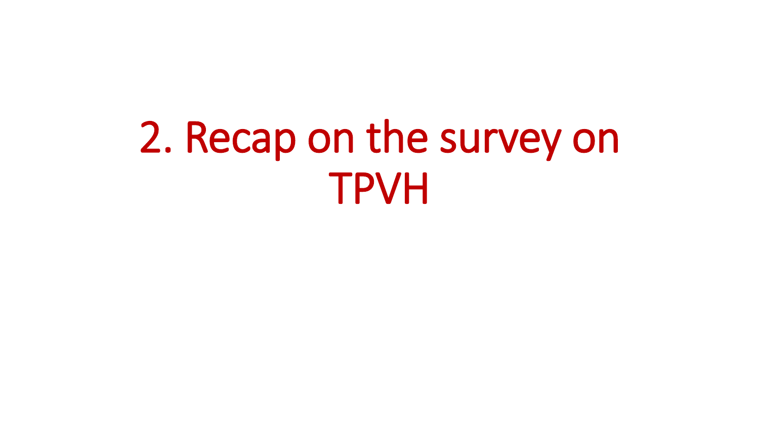## 2. Recap on the survey on TPVH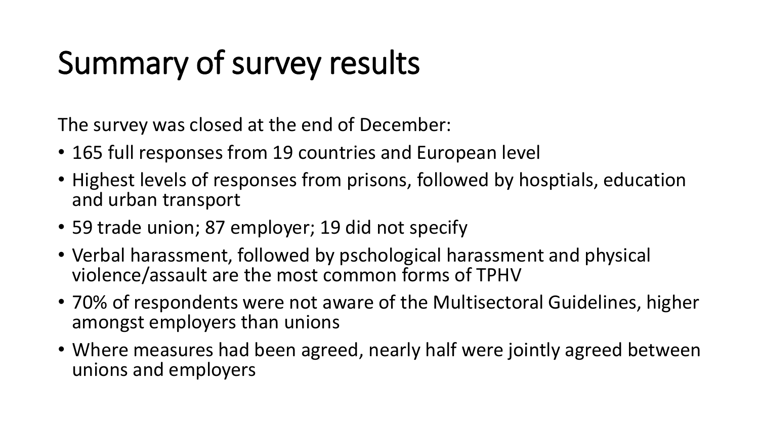## Summary of survey results

The survey was closed at the end of December:

- 165 full responses from 19 countries and European level
- Highest levels of responses from prisons, followed by hosptials, education and urban transport
- 59 trade union; 87 employer; 19 did not specify
- Verbal harassment, followed by pschological harassment and physical violence/assault are the most common forms of TPHV
- 70% of respondents were not aware of the Multisectoral Guidelines, higher amongst employers than unions
- Where measures had been agreed, nearly half were jointly agreed between unions and employers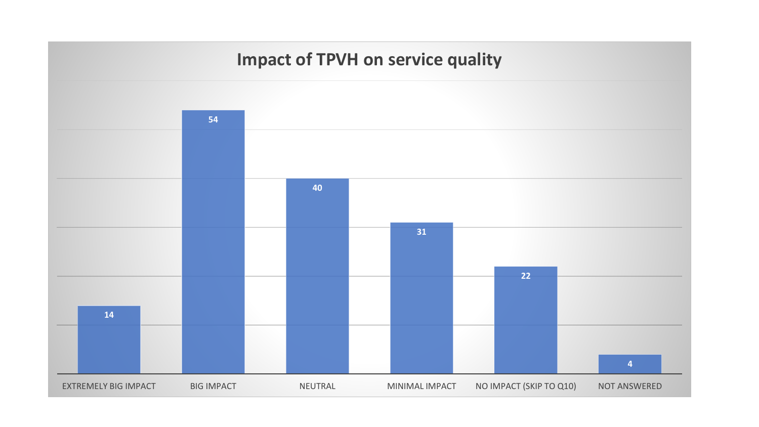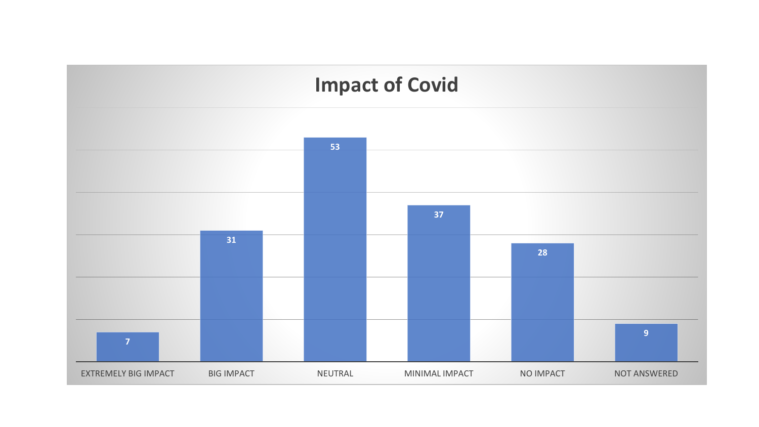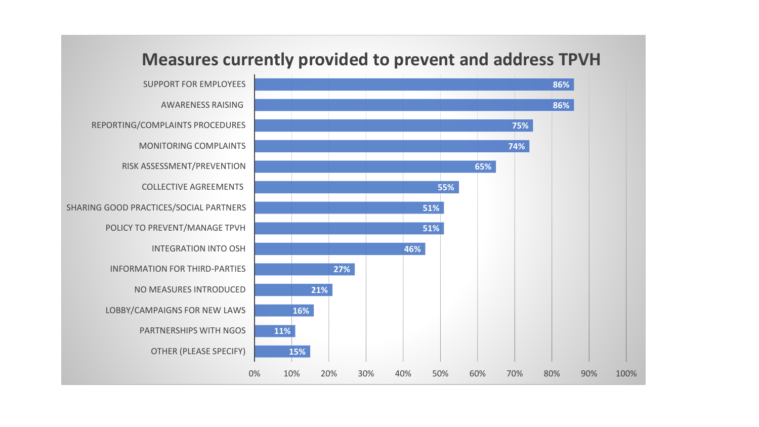

#### **Measures currently provided to prevent and address TPVH**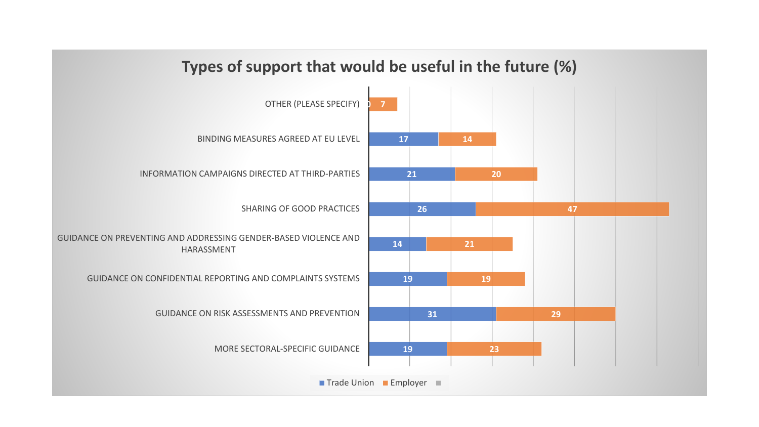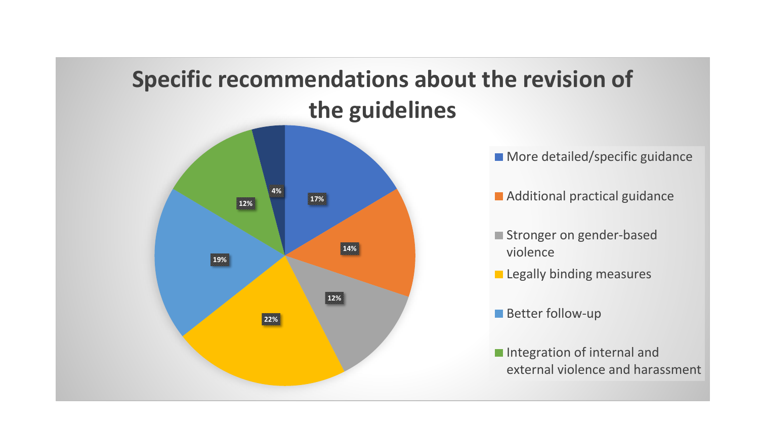#### **Specific recommendations about the revision of the guidelines**



**More detailed/specific guidance** 

**Additional practical guidance** 

- Stronger on gender-based violence
- **Legally binding measures**
- **Better follow-up**
- **Integration of internal and** external violence and harassment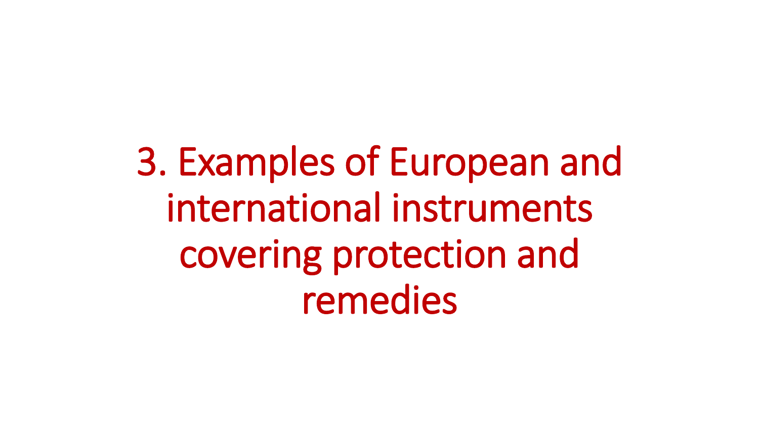3. Examples of European and international instruments covering protection and remedies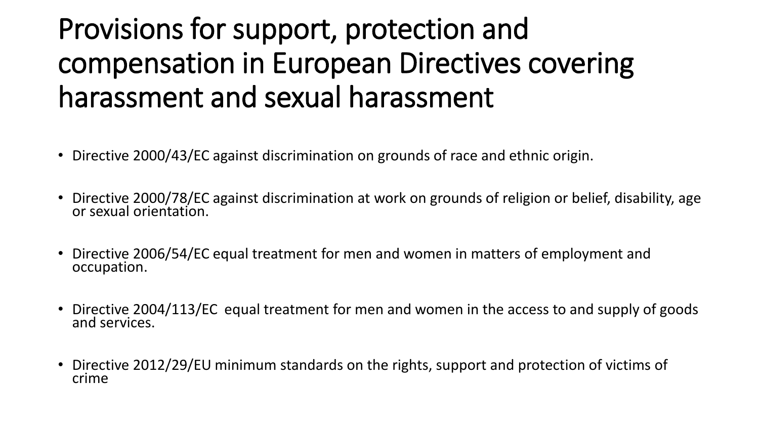### Provisions for support, protection and compensation in European Directives covering harassment and sexual harassment

- Directive 2000/43/EC against discrimination on grounds of race and ethnic origin.
- Directive 2000/78/EC against discrimination at work on grounds of religion or belief, disability, age or sexual orientation.
- Directive 2006/54/EC equal treatment for men and women in matters of employment and occupation.
- Directive 2004/113/EC equal treatment for men and women in the access to and supply of goods and services.
- Directive 2012/29/EU minimum standards on the rights, support and protection of victims of crime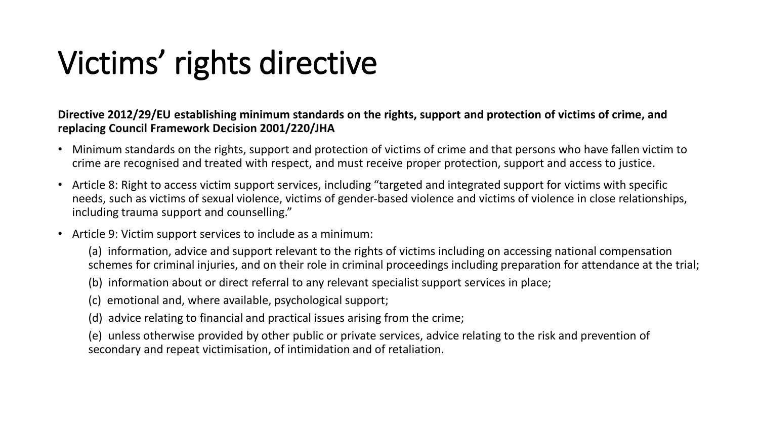### Victims' rights directive

**Directive 2012/29/EU establishing minimum standards on the rights, support and protection of victims of crime, and replacing Council Framework Decision 2001/220/JHA**

- Minimum standards on the rights, support and protection of victims of crime and that persons who have fallen victim to crime are recognised and treated with respect, and must receive proper protection, support and access to justice.
- Article 8: Right to access victim support services, including "targeted and integrated support for victims with specific needs, such as victims of sexual violence, victims of gender-based violence and victims of violence in close relationships, including trauma support and counselling."
- Article 9: Victim support services to include as a minimum:

(a) information, advice and support relevant to the rights of victims including on accessing national compensation schemes for criminal injuries, and on their role in criminal proceedings including preparation for attendance at the trial;

(b) information about or direct referral to any relevant specialist support services in place;

- (c) emotional and, where available, psychological support;
- (d) advice relating to financial and practical issues arising from the crime;

(e) unless otherwise provided by other public or private services, advice relating to the risk and prevention of secondary and repeat victimisation, of intimidation and of retaliation.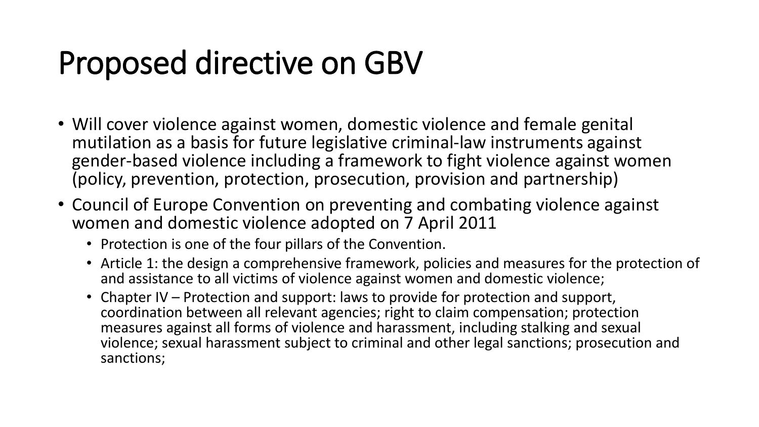### Proposed directive on GBV

- Will cover violence against women, domestic violence and female genital mutilation as a basis for future legislative criminal-law instruments against gender-based violence including a framework to fight violence against women (policy, prevention, protection, prosecution, provision and partnership)
- Council of Europe Convention on preventing and combating violence against women and domestic violence adopted on 7 April 2011
	- Protection is one of the four pillars of the Convention.
	- Article 1: the design a comprehensive framework, policies and measures for the protection of and assistance to all victims of violence against women and domestic violence;
	- Chapter IV Protection and support: laws to provide for protection and support, coordination between all relevant agencies; right to claim compensation; protection measures against all forms of violence and harassment, including stalking and sexual violence; sexual harassment subject to criminal and other legal sanctions; prosecution and sanctions;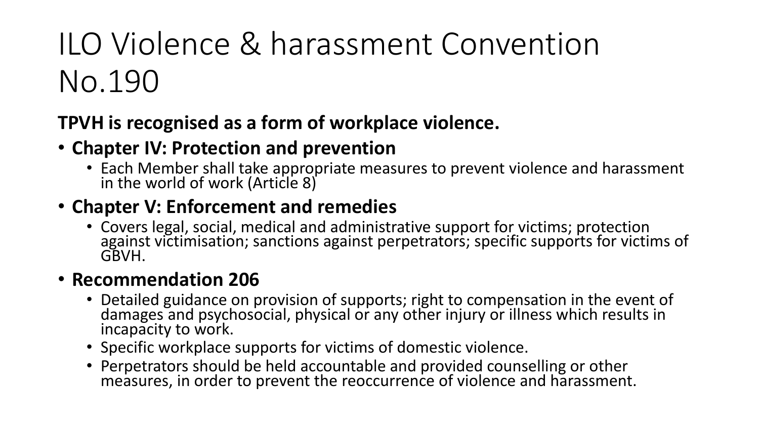### ILO Violence & harassment Convention No.190

#### **TPVH is recognised as a form of workplace violence.**

#### • **Chapter IV: Protection and prevention**

• Each Member shall take appropriate measures to prevent violence and harassment in the world of work (Article 8)

#### • **Chapter V: Enforcement and remedies**

• Covers legal, social, medical and administrative support for victims; protection against victimisation; sanctions against perpetrators; specific supports for victims of GBVH.

#### • **Recommendation 206**

- Detailed guidance on provision of supports; right to compensation in the event of damages and psychosocial, physical or any other injury or illness which results in incapacity to work.
- Specific workplace supports for victims of domestic violence.
- Perpetrators should be held accountable and provided counselling or other measures, in order to prevent the reoccurrence of violence and harassment.